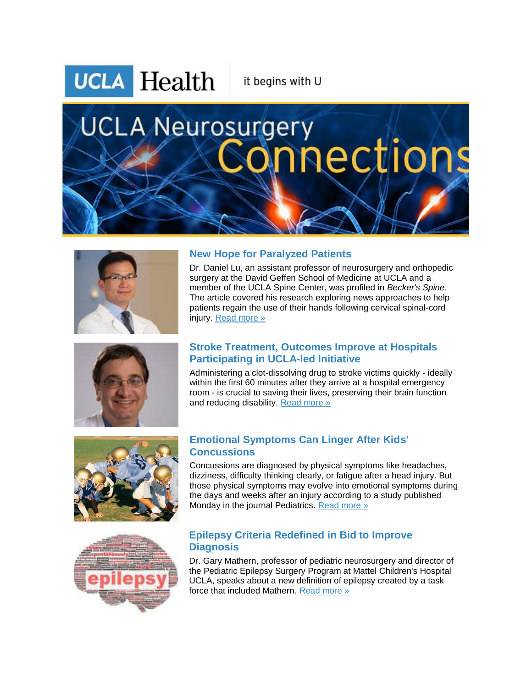

it begins with U

# **UCLA Neurosurgery** nections





## **New Hope for Paralyzed Patients**

Dr. Daniel Lu, an assistant professor of neurosurgery and orthopedic surgery at the David Geffen School of Medicine at UCLA and a member of the UCLA Spine Center, was profiled in *Becker's Spine*. The article covered his research exploring news approaches to help patients regain the use of their hands following cervical spinal-cord injury. [Read more »](http://r20.rs6.net/tn.jsp?f=0018jDkarUS8NrqaeQaZEHTvw7-Qcr3iIT21OeHzK2s1Rvpc5b15XknYBktbjHSodG1AoUJRvNjnWrXWwNN8KtgMfuq1JvFNtkAoPPoNxxuDTqcPmgCOilijNDzAif9c3YPkbD4Va_mnEgV9Wz101nXs6hAaXo_hiMnOWpEPFJp7j8Psp5dEe0YROJPNfrRPLZBAw0JIY6vHRkfN0x4f1RIG4icbZSJyKZMIYkaT31JBllj6B96YEuwP9XE0mXTUfKMp_n2BfAFlPDp9SPnfLiIqr5ZtraXsuaX3JL5lYidjS59U12AYnxQ2AGmGYMMM5dUUMWO4ouK0Ypgp3IOjuvomTUCZWdbYlTcHNlOpFBcXYUSCr8WgcMgIUMNK-h09e4Kx5STEjjffBqehZ5u0Nq5JQ9cVLPR2z1dfBp2KE19_OaOY1vFPJQvMbt7LTEx8DG_4sHuCIVINew-U7cCBK2H9Xj2p0gKawh6&c=8saF3brJHiDu2u4CaMDY1Uszq8wkLH3KsMTm83IeK7mbakdcuvkG2g==&ch=ctmDIhoLllTsvsAkzF_yEImoj6WU2-3ccn9Ei6gjBboPkV_hqaf6QA==) 

## **Stroke Treatment, Outcomes Improve at Hospitals Participating in UCLA-led Initiative**

Administering a clot-dissolving drug to stroke victims quickly - ideally within the first 60 minutes after they arrive at a hospital emergency room - is crucial to saving their lives, preserving their brain function and reducing disability. [Read more »](http://r20.rs6.net/tn.jsp?f=0018jDkarUS8NrqaeQaZEHTvw7-Qcr3iIT21OeHzK2s1Rvpc5b15XknYBktbjHSodG1PPRoW4TqAE2O478Fpuq5J-XVuzFkLpJ8X0Sy1YCCLf42GXuz03vNFVW3fbKOgl7j5B_Z4eWmAqGI8qykgbzZz7gLI2Hc2-jFL8gVUu1LUGyoQjB5YdOZMzVB2v8xwPRJdggay4678B3jOdnyq-ZDQ3_Wn9tu0ERk293f8iGVSDGm1GsNhL47ap8Sjjh3jbC_qRfz62h4Ohxa589qfjEZNOn65rjURzw-YaqzZUogkKgriI5O_lM00XGIGe4i1MnTsbO0PJLl84dFnLkydGeVEaw0BWZRJ4gU7enUxaPOnY_I0g5WnqB_1E7AIQqCliIM6Qj36V6zYFT5MLCvJNB7KJ5F7gx0YSjGfcscQ2PIdGgtcSf9l9iElApyqVbT5mPR&c=8saF3brJHiDu2u4CaMDY1Uszq8wkLH3KsMTm83IeK7mbakdcuvkG2g==&ch=ctmDIhoLllTsvsAkzF_yEImoj6WU2-3ccn9Ei6gjBboPkV_hqaf6QA==)



### **Emotional Symptoms Can Linger After Kids' Concussions**

Concussions are diagnosed by physical symptoms like headaches, dizziness, difficulty thinking clearly, or fatigue after a head injury. But those physical symptoms may evolve into emotional symptoms during the days and weeks after an injury according to a study published Monday in the journal Pediatrics. [Read more »](http://r20.rs6.net/tn.jsp?f=0018jDkarUS8NrqaeQaZEHTvw7-Qcr3iIT21OeHzK2s1Rvpc5b15XknYBktbjHSodG1hIi0MEo-_5us50NH51kneVuwpDdM_Mez4auLK61j9HcqcrwXAUuGamyx3515cM3dixVJs-kYCe2LvieuqypDLYXv4YYBdYAxOeQKX8z7JGEYz3A9fBvTQ8Tynj2eRoqFCHeBWNoktfViCFf_vjOxGipgoipeCQhxXX0dn1EaU-d0ON4oELBOS737acQIo00AeM3d0W4ZAbYcPPzmeL3ewrksaXcqN_IPdX4CDIF2IC2DnGijsZRJSbRdFE_QOEblhJVouScUnzrp4tcVCd1b0OO3q3S0kOXdHRotz7ihivSH4Rvgj17hbrjAgp2CwIc7dOQM-N2cqTQXyp5w3QywseNFQ6bWsBhQteXGNVBVvp2OFpaZDHv9Y3qxSVdJ69iwSNd6WbEhdHuQMQlnRjSyvg==&c=8saF3brJHiDu2u4CaMDY1Uszq8wkLH3KsMTm83IeK7mbakdcuvkG2g==&ch=ctmDIhoLllTsvsAkzF_yEImoj6WU2-3ccn9Ei6gjBboPkV_hqaf6QA==)



### **Epilepsy Criteria Redefined in Bid to Improve Diagnosis**

Dr. Gary Mathern, professor of pediatric neurosurgery and director of the Pediatric Epilepsy Surgery Program at Mattel Children's Hospital UCLA, speaks about a new definition of epilepsy created by a task force that included Mathern. [Read more »](http://r20.rs6.net/tn.jsp?f=0018jDkarUS8NrqaeQaZEHTvw7-Qcr3iIT21OeHzK2s1Rvpc5b15XknYBktbjHSodG1h5Sk65LF2QGhXOBp7-nKXRdkWzHwYEM5t_WLVYWlVCtQdvC7lqZT6lBANHem1LDIaRvi8N-dK7D6lnPKzv1v4e5IynWtuP1KKBHqRXI-3xZBMdW1FunPLsKOyAODY9YNz5mre7AljW9Y8g5Dtq6YH-FFR-xtSLAWVIoVg7JqlXguAMlq0HyvwfTm-5SNNRGAq2rKiIpiDIjrwXb9dlmU4c5GLgKayFnQAoNxjq39Fi3H7Bb60nTYG3wFmLC404Z7thk_F-pw_2C328rq7e0AZZOvQTyUo42AqAAvlXoGJI8MKECMz3iWFNFK9Nd7-xShNKVrID2AD0A9Z3Q3ocfqN5zTeYhnprcgb_d1VaStQIzCsMF4j_7Flw==&c=8saF3brJHiDu2u4CaMDY1Uszq8wkLH3KsMTm83IeK7mbakdcuvkG2g==&ch=ctmDIhoLllTsvsAkzF_yEImoj6WU2-3ccn9Ei6gjBboPkV_hqaf6QA==)